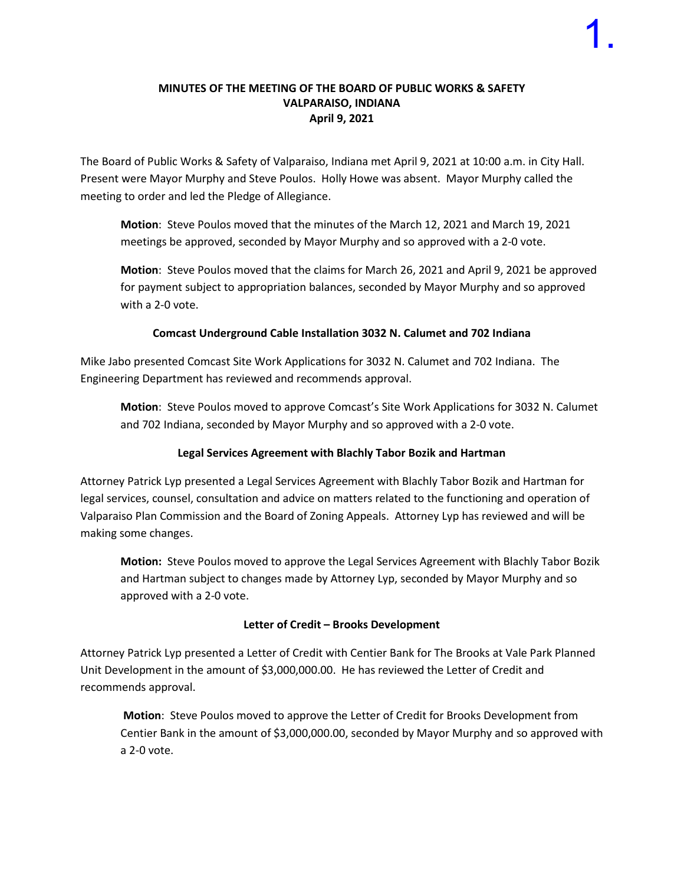#### **MINUTES OF THE MEETING OF THE BOARD OF PUBLIC WORKS & SAFETY VALPARAISO, INDIANA April 9, 2021**

The Board of Public Works & Safety of Valparaiso, Indiana met April 9, 2021 at 10:00 a.m. in City Hall. Present were Mayor Murphy and Steve Poulos. Holly Howe was absent. Mayor Murphy called the meeting to order and led the Pledge of Allegiance.

**Motion**: Steve Poulos moved that the minutes of the March 12, 2021 and March 19, 2021 meetings be approved, seconded by Mayor Murphy and so approved with a 2-0 vote.

**Motion**: Steve Poulos moved that the claims for March 26, 2021 and April 9, 2021 be approved for payment subject to appropriation balances, seconded by Mayor Murphy and so approved with a 2-0 vote.

### **Comcast Underground Cable Installation 3032 N. Calumet and 702 Indiana**

Mike Jabo presented Comcast Site Work Applications for 3032 N. Calumet and 702 Indiana. The Engineering Department has reviewed and recommends approval.

**Motion**: Steve Poulos moved to approve Comcast's Site Work Applications for 3032 N. Calumet and 702 Indiana, seconded by Mayor Murphy and so approved with a 2-0 vote.

## **Legal Services Agreement with Blachly Tabor Bozik and Hartman**

Attorney Patrick Lyp presented a Legal Services Agreement with Blachly Tabor Bozik and Hartman for legal services, counsel, consultation and advice on matters related to the functioning and operation of Valparaiso Plan Commission and the Board of Zoning Appeals. Attorney Lyp has reviewed and will be making some changes.

**Motion:** Steve Poulos moved to approve the Legal Services Agreement with Blachly Tabor Bozik and Hartman subject to changes made by Attorney Lyp, seconded by Mayor Murphy and so approved with a 2-0 vote.

## **Letter of Credit – Brooks Development**

Attorney Patrick Lyp presented a Letter of Credit with Centier Bank for The Brooks at Vale Park Planned Unit Development in the amount of \$3,000,000.00. He has reviewed the Letter of Credit and recommends approval.

**Motion**: Steve Poulos moved to approve the Letter of Credit for Brooks Development from Centier Bank in the amount of \$3,000,000.00, seconded by Mayor Murphy and so approved with a 2-0 vote.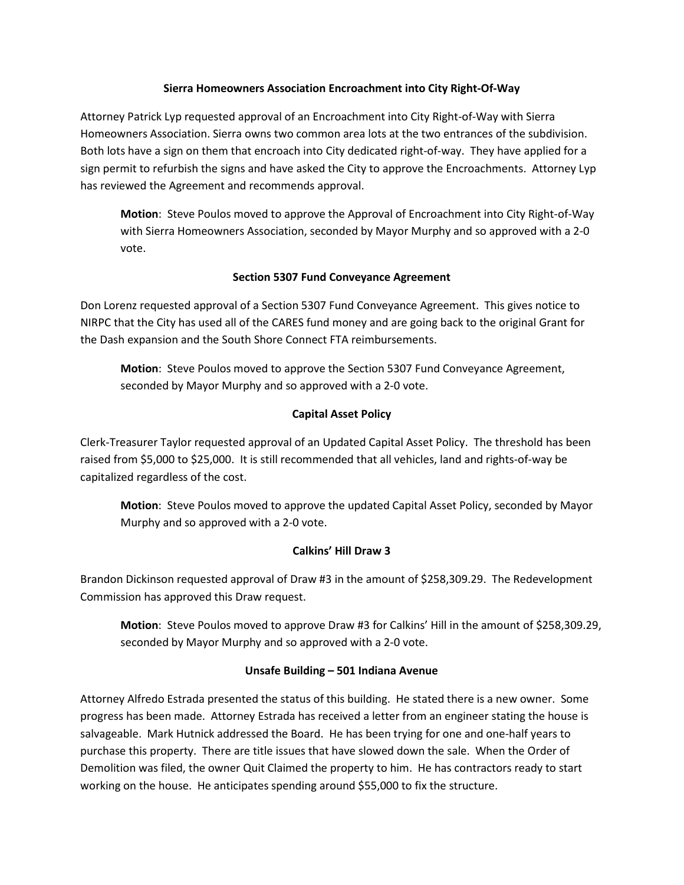#### **Sierra Homeowners Association Encroachment into City Right-Of-Way**

Attorney Patrick Lyp requested approval of an Encroachment into City Right-of-Way with Sierra Homeowners Association. Sierra owns two common area lots at the two entrances of the subdivision. Both lots have a sign on them that encroach into City dedicated right-of-way. They have applied for a sign permit to refurbish the signs and have asked the City to approve the Encroachments. Attorney Lyp has reviewed the Agreement and recommends approval.

**Motion**: Steve Poulos moved to approve the Approval of Encroachment into City Right-of-Way with Sierra Homeowners Association, seconded by Mayor Murphy and so approved with a 2-0 vote.

## **Section 5307 Fund Conveyance Agreement**

Don Lorenz requested approval of a Section 5307 Fund Conveyance Agreement. This gives notice to NIRPC that the City has used all of the CARES fund money and are going back to the original Grant for the Dash expansion and the South Shore Connect FTA reimbursements.

**Motion**: Steve Poulos moved to approve the Section 5307 Fund Conveyance Agreement, seconded by Mayor Murphy and so approved with a 2-0 vote.

### **Capital Asset Policy**

Clerk-Treasurer Taylor requested approval of an Updated Capital Asset Policy. The threshold has been raised from \$5,000 to \$25,000. It is still recommended that all vehicles, land and rights-of-way be capitalized regardless of the cost.

**Motion**: Steve Poulos moved to approve the updated Capital Asset Policy, seconded by Mayor Murphy and so approved with a 2-0 vote.

## **Calkins' Hill Draw 3**

Brandon Dickinson requested approval of Draw #3 in the amount of \$258,309.29. The Redevelopment Commission has approved this Draw request.

**Motion**: Steve Poulos moved to approve Draw #3 for Calkins' Hill in the amount of \$258,309.29, seconded by Mayor Murphy and so approved with a 2-0 vote.

#### **Unsafe Building – 501 Indiana Avenue**

Attorney Alfredo Estrada presented the status of this building. He stated there is a new owner. Some progress has been made. Attorney Estrada has received a letter from an engineer stating the house is salvageable. Mark Hutnick addressed the Board. He has been trying for one and one-half years to purchase this property. There are title issues that have slowed down the sale. When the Order of Demolition was filed, the owner Quit Claimed the property to him. He has contractors ready to start working on the house. He anticipates spending around \$55,000 to fix the structure.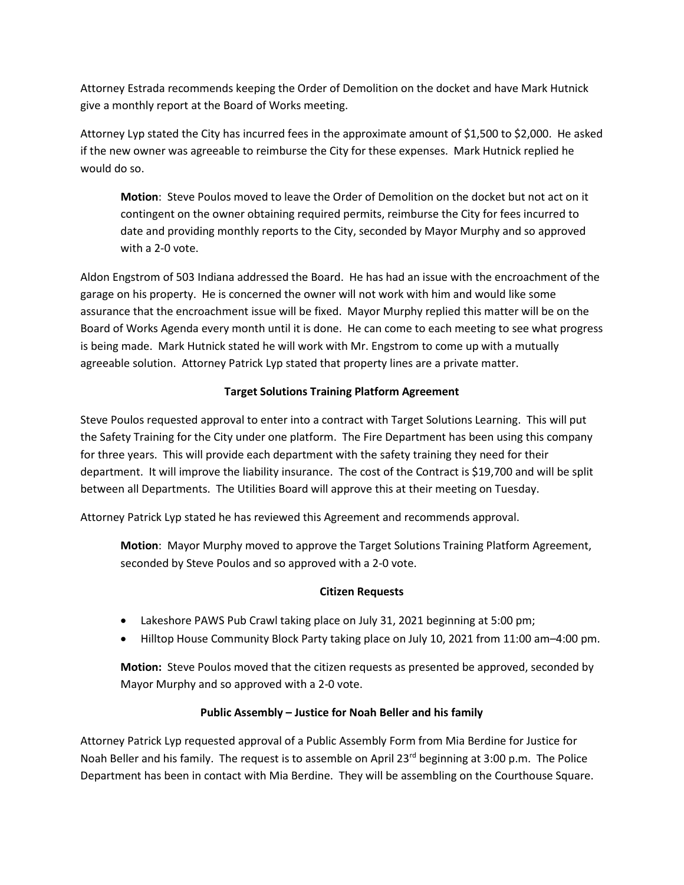Attorney Estrada recommends keeping the Order of Demolition on the docket and have Mark Hutnick give a monthly report at the Board of Works meeting.

Attorney Lyp stated the City has incurred fees in the approximate amount of \$1,500 to \$2,000. He asked if the new owner was agreeable to reimburse the City for these expenses. Mark Hutnick replied he would do so.

**Motion**: Steve Poulos moved to leave the Order of Demolition on the docket but not act on it contingent on the owner obtaining required permits, reimburse the City for fees incurred to date and providing monthly reports to the City, seconded by Mayor Murphy and so approved with a 2-0 vote.

Aldon Engstrom of 503 Indiana addressed the Board. He has had an issue with the encroachment of the garage on his property. He is concerned the owner will not work with him and would like some assurance that the encroachment issue will be fixed. Mayor Murphy replied this matter will be on the Board of Works Agenda every month until it is done. He can come to each meeting to see what progress is being made. Mark Hutnick stated he will work with Mr. Engstrom to come up with a mutually agreeable solution. Attorney Patrick Lyp stated that property lines are a private matter.

# **Target Solutions Training Platform Agreement**

Steve Poulos requested approval to enter into a contract with Target Solutions Learning. This will put the Safety Training for the City under one platform. The Fire Department has been using this company for three years. This will provide each department with the safety training they need for their department. It will improve the liability insurance. The cost of the Contract is \$19,700 and will be split between all Departments. The Utilities Board will approve this at their meeting on Tuesday.

Attorney Patrick Lyp stated he has reviewed this Agreement and recommends approval.

**Motion**: Mayor Murphy moved to approve the Target Solutions Training Platform Agreement, seconded by Steve Poulos and so approved with a 2-0 vote.

## **Citizen Requests**

- Lakeshore PAWS Pub Crawl taking place on July 31, 2021 beginning at 5:00 pm;
- Hilltop House Community Block Party taking place on July 10, 2021 from 11:00 am–4:00 pm.

**Motion:** Steve Poulos moved that the citizen requests as presented be approved, seconded by Mayor Murphy and so approved with a 2-0 vote.

## **Public Assembly – Justice for Noah Beller and his family**

Attorney Patrick Lyp requested approval of a Public Assembly Form from Mia Berdine for Justice for Noah Beller and his family. The request is to assemble on April 23<sup>rd</sup> beginning at 3:00 p.m. The Police Department has been in contact with Mia Berdine. They will be assembling on the Courthouse Square.